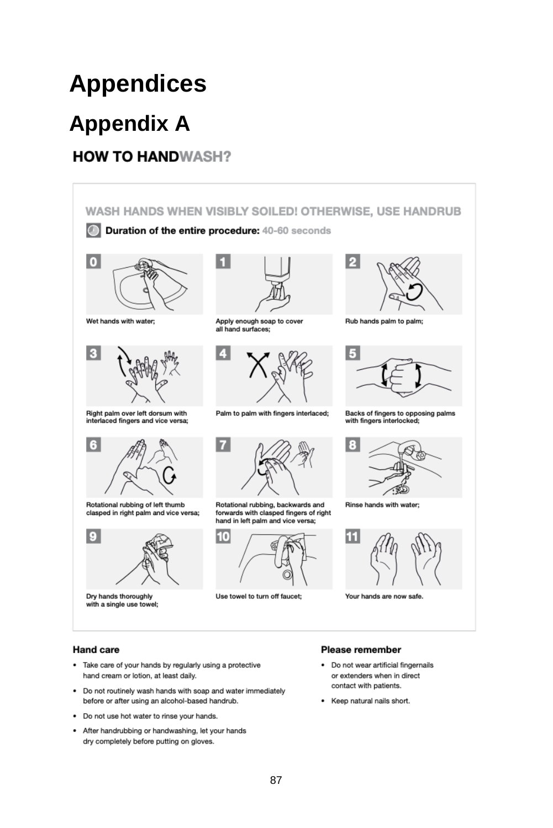# **Appendices**

### **Appendix A**

### **HOW TO HANDWASH?**



- hand cream or lotion, at least daily.
- Do not routinely wash hands with soap and water immediately  $\bullet$ before or after using an alcohol-based handrub.
- . Do not use hot water to rinse your hands.

 $\ddot{\phantom{0}}$ 

- After handrubbing or handwashing, let your hands dry completely before putting on gloves.
- or extenders when in direct contact with patients.
- Keep natural nails short.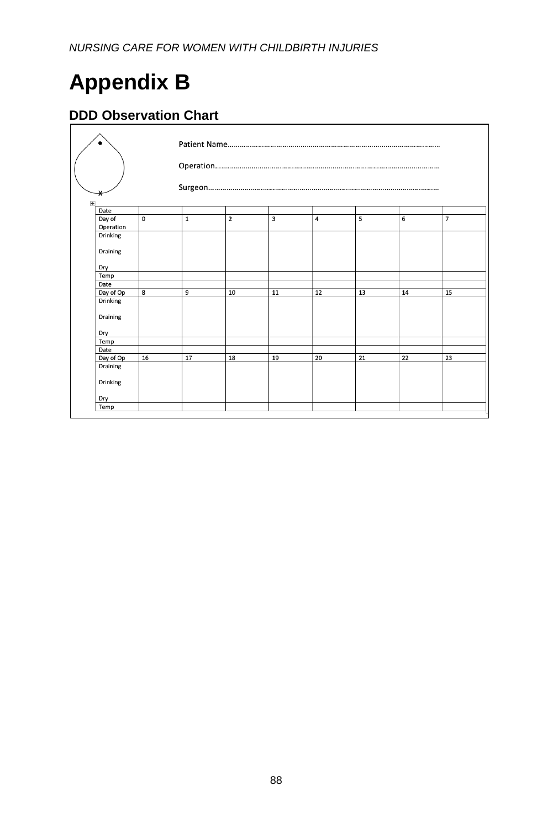# **Appendix B**

### **DDD Observation Chart**

| $\overline{+}$<br>Date |           |              |                |    |    |    |    |    |
|------------------------|-----------|--------------|----------------|----|----|----|----|----|
| Day of<br>Operation    | $\pmb{0}$ | $\mathbf{1}$ | $\overline{2}$ | 3  | 4  | 5  | 6  | 7  |
| Drinking               |           |              |                |    |    |    |    |    |
| Draining               |           |              |                |    |    |    |    |    |
| Dry                    |           |              |                |    |    |    |    |    |
| Temp                   |           |              |                |    |    |    |    |    |
| Date                   |           |              |                |    |    |    |    |    |
| Day of Op              | 8         | 9            | 10             | 11 | 12 | 13 | 14 | 15 |
| Drinking               |           |              |                |    |    |    |    |    |
| Draining               |           |              |                |    |    |    |    |    |
| Dry                    |           |              |                |    |    |    |    |    |
| Temp                   |           |              |                |    |    |    |    |    |
| Date                   |           |              |                |    |    |    |    |    |
| Day of Op              | 16        | 17           | 18             | 19 | 20 | 21 | 22 | 23 |
| Draining               |           |              |                |    |    |    |    |    |
| Drinking               |           |              |                |    |    |    |    |    |
| Dry                    |           |              |                |    |    |    |    |    |
| Temp                   |           |              |                |    |    |    |    |    |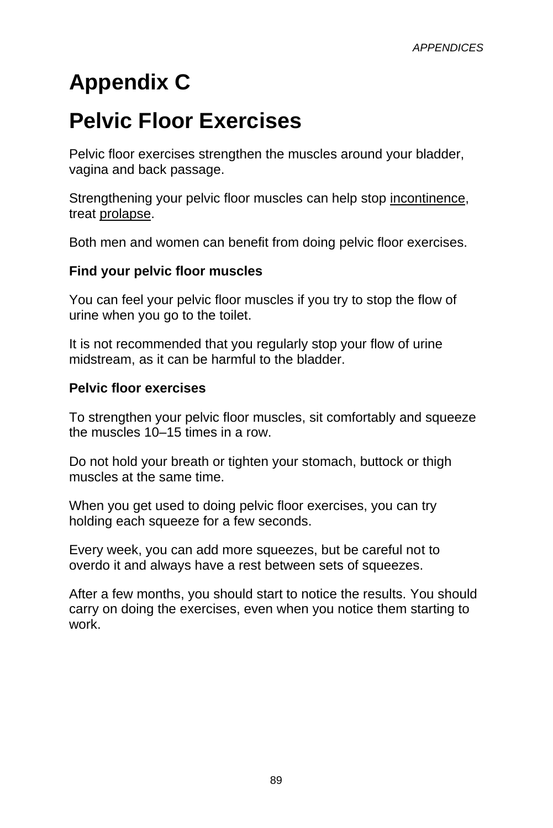## **Appendix C**

### **Pelvic Floor Exercises**

Pelvic floor exercises strengthen the muscles around your bladder, vagina and back passage.

Strengthening your pelvic floor muscles can help stop [incontinence,](https://www.nhs.uk/conditions/urinary-incontinence/) treat [prolapse.](https://www.nhs.uk/conditions/pelvic-organ-prolapse/)

Both men and women can benefit from doing pelvic floor exercises.

#### **Find your pelvic floor muscles**

You can feel your pelvic floor muscles if you try to stop the flow of urine when you go to the toilet.

It is not recommended that you regularly stop your flow of urine midstream, as it can be harmful to the bladder.

#### **Pelvic floor exercises**

To strengthen your pelvic floor muscles, sit comfortably and squeeze the muscles 10–15 times in a row.

Do not hold your breath or tighten your stomach, buttock or thigh muscles at the same time.

When you get used to doing pelvic floor exercises, you can try holding each squeeze for a few seconds.

Every week, you can add more squeezes, but be careful not to overdo it and always have a rest between sets of squeezes.

After a few months, you should start to notice the results. You should carry on doing the exercises, even when you notice them starting to work.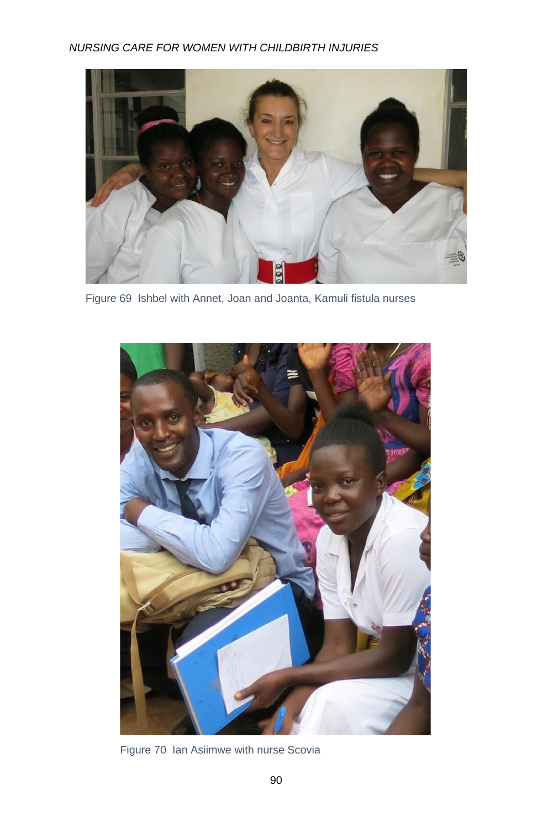

Figure 69 Ishbel with Annet, Joan and Joanta, Kamuli fistula nurses



Figure 70 Ian Asiimwe with nurse Scovia